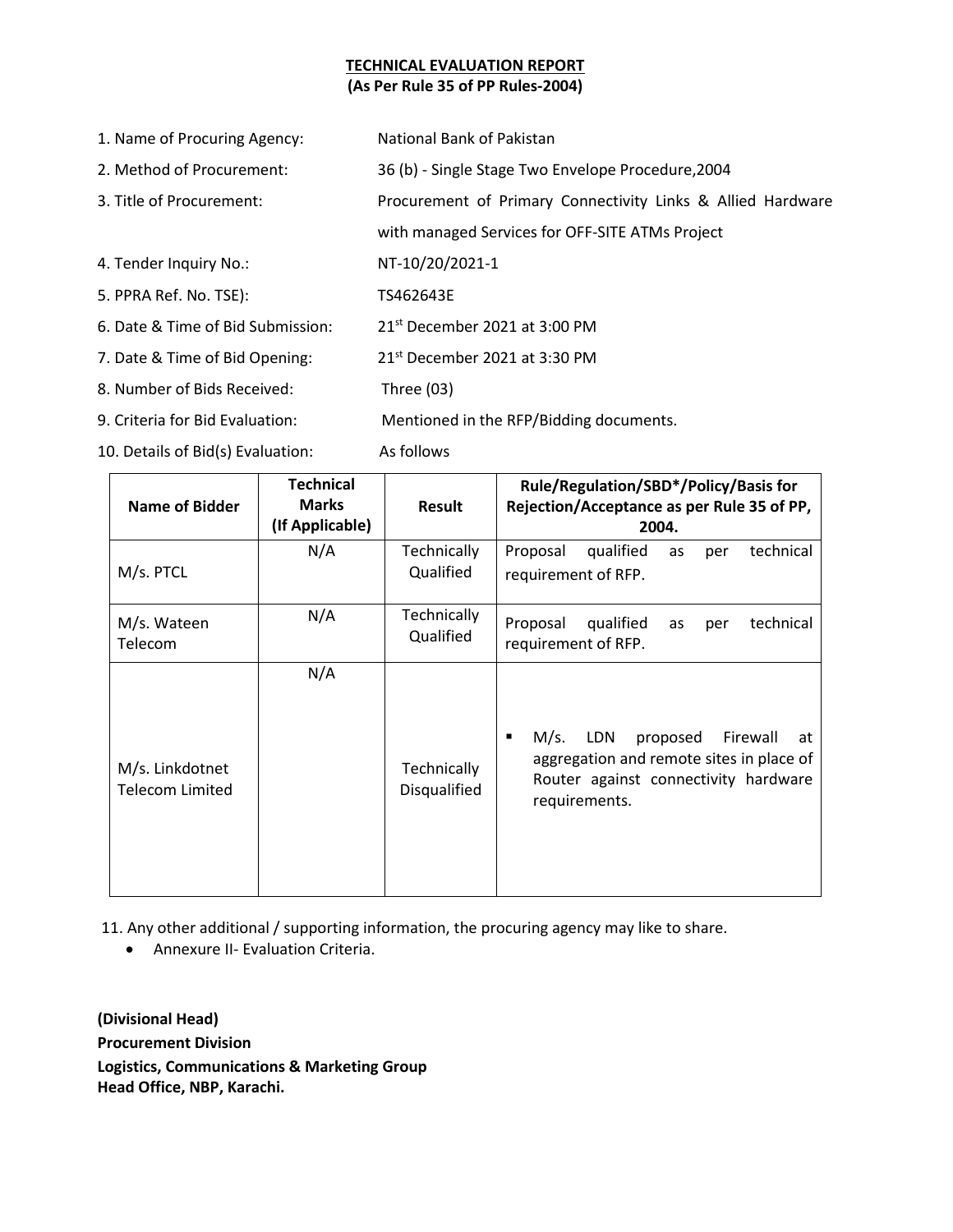## **TECHNICAL EVALUATION REPORT (As Per Rule 35 of PP Rules-2004)**

| 1. Name of Procuring Agency:      | National Bank of Pakistan                                   |  |
|-----------------------------------|-------------------------------------------------------------|--|
| 2. Method of Procurement:         | 36 (b) - Single Stage Two Envelope Procedure, 2004          |  |
| 3. Title of Procurement:          | Procurement of Primary Connectivity Links & Allied Hardware |  |
|                                   | with managed Services for OFF-SITE ATMs Project             |  |
| 4. Tender Inquiry No.:            | NT-10/20/2021-1                                             |  |
| 5. PPRA Ref. No. TSE):            | TS462643E                                                   |  |
| 6. Date & Time of Bid Submission: | 21st December 2021 at 3:00 PM                               |  |
| 7. Date & Time of Bid Opening:    | 21st December 2021 at 3:30 PM                               |  |
| 8. Number of Bids Received:       | Three $(03)$                                                |  |
| 9. Criteria for Bid Evaluation:   | Mentioned in the RFP/Bidding documents.                     |  |
| 10. Details of Bid(s) Evaluation: | As follows                                                  |  |

| <b>Name of Bidder</b>                     | <b>Technical</b><br><b>Marks</b><br>(If Applicable) | Result                                    | Rule/Regulation/SBD*/Policy/Basis for<br>Rejection/Acceptance as per Rule 35 of PP,<br>2004.                                                        |
|-------------------------------------------|-----------------------------------------------------|-------------------------------------------|-----------------------------------------------------------------------------------------------------------------------------------------------------|
| M/s. PTCL                                 | N/A                                                 | Technically<br>Qualified                  | Proposal<br>qualified<br>technical<br>as<br>per<br>requirement of RFP.                                                                              |
| M/s. Wateen<br>Telecom                    | N/A                                                 | <b>Technically</b><br>Qualified           | Proposal<br>qualified<br>technical<br>as<br>per<br>requirement of RFP.                                                                              |
| M/s. Linkdotnet<br><b>Telecom Limited</b> | N/A                                                 | <b>Technically</b><br><b>Disqualified</b> | LDN<br>M/s.<br>Firewall<br>proposed<br>at<br>٠<br>aggregation and remote sites in place of<br>Router against connectivity hardware<br>requirements. |

11. Any other additional / supporting information, the procuring agency may like to share.

Annexure II- Evaluation Criteria.

**(Divisional Head) Procurement Division Logistics, Communications & Marketing Group Head Office, NBP, Karachi.**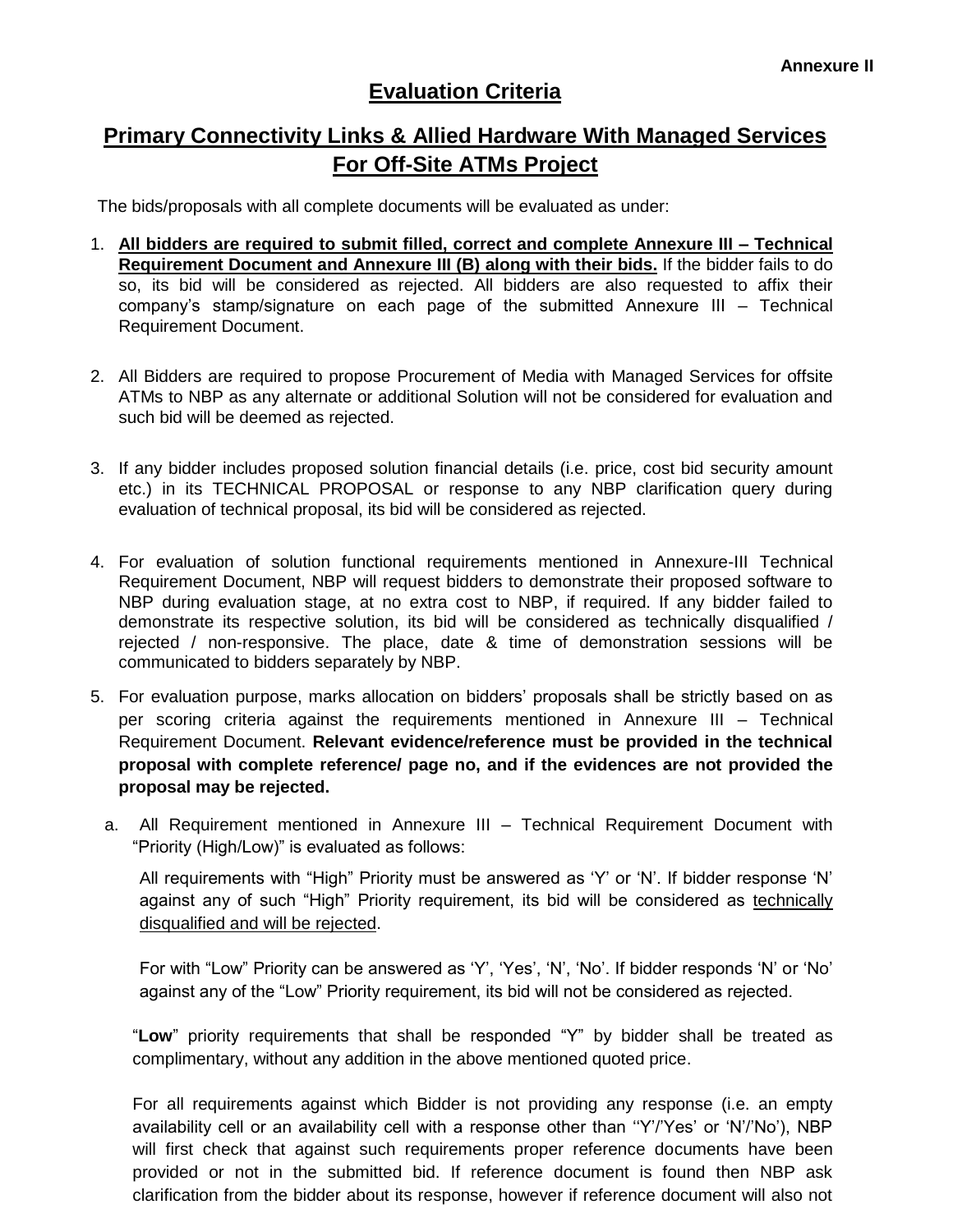## **Evaluation Criteria**

## **Primary Connectivity Links & Allied Hardware With Managed Services For Off-Site ATMs Project**

The bids/proposals with all complete documents will be evaluated as under:

- 1. **All bidders are required to submit filled, correct and complete Annexure III – Technical Requirement Document and Annexure III (B) along with their bids.** If the bidder fails to do so, its bid will be considered as rejected. All bidders are also requested to affix their company's stamp/signature on each page of the submitted Annexure III – Technical Requirement Document.
- 2. All Bidders are required to propose Procurement of Media with Managed Services for offsite ATMs to NBP as any alternate or additional Solution will not be considered for evaluation and such bid will be deemed as rejected.
- 3. If any bidder includes proposed solution financial details (i.e. price, cost bid security amount etc.) in its TECHNICAL PROPOSAL or response to any NBP clarification query during evaluation of technical proposal, its bid will be considered as rejected.
- 4. For evaluation of solution functional requirements mentioned in Annexure-III Technical Requirement Document, NBP will request bidders to demonstrate their proposed software to NBP during evaluation stage, at no extra cost to NBP, if required. If any bidder failed to demonstrate its respective solution, its bid will be considered as technically disqualified / rejected / non-responsive. The place, date & time of demonstration sessions will be communicated to bidders separately by NBP.
- 5. For evaluation purpose, marks allocation on bidders' proposals shall be strictly based on as per scoring criteria against the requirements mentioned in Annexure III – Technical Requirement Document. **Relevant evidence/reference must be provided in the technical proposal with complete reference/ page no, and if the evidences are not provided the proposal may be rejected.**
	- a. All Requirement mentioned in Annexure III Technical Requirement Document with "Priority (High/Low)" is evaluated as follows:

All requirements with "High" Priority must be answered as 'Y' or 'N'. If bidder response 'N' against any of such "High" Priority requirement, its bid will be considered as technically disqualified and will be rejected.

For with "Low" Priority can be answered as 'Y', 'Yes', 'N', 'No'. If bidder responds 'N' or 'No' against any of the "Low" Priority requirement, its bid will not be considered as rejected.

"**Low**" priority requirements that shall be responded "Y" by bidder shall be treated as complimentary, without any addition in the above mentioned quoted price.

For all requirements against which Bidder is not providing any response (i.e. an empty availability cell or an availability cell with a response other than "Y'/'Yes' or 'N'/'No'), NBP will first check that against such requirements proper reference documents have been provided or not in the submitted bid. If reference document is found then NBP ask clarification from the bidder about its response, however if reference document will also not